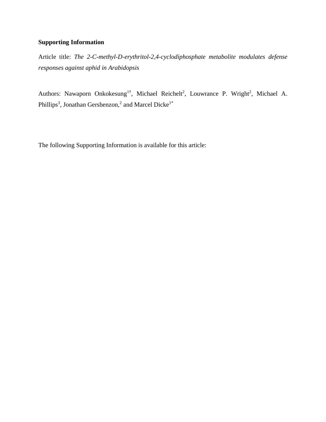## **Supporting Information**

Article title: *The 2-C-methyl-D-erythritol-2,4-cyclodiphosphate metabolite modulates defense responses against aphid in Arabidopsis*

Authors: Nawaporn Onkokesung<sup>1†</sup>, Michael Reichelt<sup>2</sup>, Louwrance P. Wright<sup>2</sup>, Michael A. Phillips<sup>3</sup>, Jonathan Gershenzon,<sup>2</sup> and Marcel Dicke<sup>1\*</sup>

The following Supporting Information is available for this article: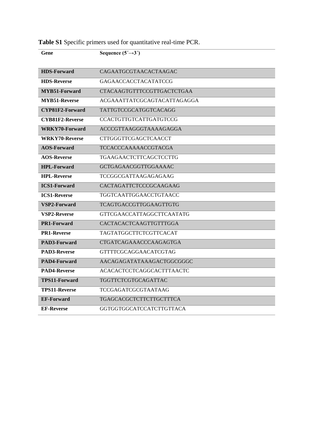| Gene                   | Sequence $(5' \rightarrow 3')$    |
|------------------------|-----------------------------------|
| <b>HDS-Forward</b>     | CAGAATGCGTAACACTAAGAC             |
| <b>HDS-Reverse</b>     | <b>GAGAACCACCTACATATCCG</b>       |
| MYB51-Forward          | <b>CTACAAGTGTTTCCGTTGACTCTGAA</b> |
| <b>MYB51-Reverse</b>   | ACGAAATTATCGCAGTACATTAGAGGA       |
| CYP81F2-Forward        | <b>TATTGTCCGCATGGTCACAGG</b>      |
| <b>CYB81F2-Reverse</b> | <b>CCACTGTTGTCATTGATGTCCG</b>     |
| <b>WRKY70-Forward</b>  | ACCCGTTAAGGGTAAAAGAGGA            |
| <b>WRKY70-Reverse</b>  | <b>CTTGGGTTCGAGCTCAACCT</b>       |
| <b>AOS-Forward</b>     | <b>TCCACCCAAAAACCGTACGA</b>       |
| <b>AOS-Reverse</b>     | TGAAGAACTCTTCAGCTCCTTG            |
| <b>HPL-Forward</b>     | <b>GCTGAGAACGGTTGGAAAAC</b>       |
| <b>HPL-Reverse</b>     | TCCGGCGATTAAGAGAGAAG              |
| <b>ICS1-Forward</b>    | CACTAGATTCTCCCGCAAGAAG            |
| <b>ICS1-Reverse</b>    | TGGTCAATTGGAACCTGTAACC            |
| VSP2-Forward           | <b>TCAGTGACCGTTGGAAGTTGTG</b>     |
| <b>VSP2-Reverse</b>    | GTTCGAACCATTAGGCTTCAATATG         |
| <b>PR1-Forward</b>     | CACTACACTCAAGTTGTTTGGA            |
| <b>PR1-Reverse</b>     | TAGTATGGCTTCTCGTTCACAT            |
| PAD3-Forward           | <b>CTGATCAGAAACCCAAGAGTGA</b>     |
| <b>PAD3-Reverse</b>    | GTTTTCGCAGGAACATCGTAG             |
| PAD4-Forward           | AACAGAGATATAAAGACTGGCGGGC         |
| <b>PAD4-Reverse</b>    | ACACACTCCTCAGGCACTTTAACTC         |
| <b>TPS11-Forward</b>   | <b>TGGTTCTCGTGCAGATTAC</b>        |
| <b>TPS11-Reverse</b>   | <b>TCCGAGATCGCGTAATAAG</b>        |
| <b>EF-Forward</b>      | TGAGCACGCTCTTCTTGCTTTCA           |
| <b>EF-Reverse</b>      | GGTGGTGGCATCCATCTTGTTACA          |

**Table S1** Specific primers used for quantitative real-time PCR.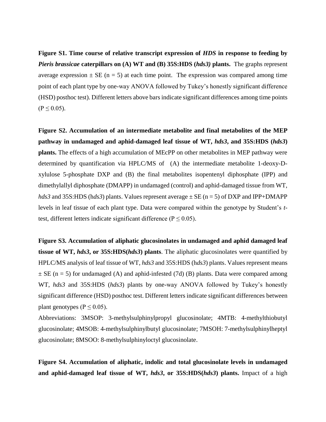**Figure S1. Time course of relative transcript expression of** *HDS* **in response to feeding by**  *Pieris brassicae* **caterpillars on (A) WT and (B) 35S:HDS (***hds3)* **plants.** The graphs represent average expression  $\pm$  SE (n = 5) at each time point. The expression was compared among time point of each plant type by one-way ANOVA followed by Tukey's honestly significant difference (HSD) posthoc test). Different letters above bars indicate significant differences among time points  $(P \le 0.05)$ .

**Figure S2. Accumulation of an intermediate metabolite and final metabolites of the MEP pathway in undamaged and aphid-damaged leaf tissue of WT,** *hds3***, and 35S:HDS (***hds3***) plants.** The effects of a high accumulation of MEcPP on other metabolites in MEP pathway were determined by quantification via HPLC/MS of (A) the intermediate metabolite 1-deoxy-Dxylulose 5-phosphate DXP and (B) the final metabolites isopentenyl diphosphate (IPP) and dimethylallyl diphosphate (DMAPP) in undamaged (control) and aphid-damaged tissue from WT, *hds3* and 35S:HDS (h*ds3*) plants. Values represent average  $\pm$  SE (n = 5) of DXP and IPP+DMAPP levels in leaf tissue of each plant type. Data were compared within the genotype by Student's *t*test, different letters indicate significant difference ( $P \le 0.05$ ).

**Figure S3. Accumulation of aliphatic glucosinolates in undamaged and aphid damaged leaf tissue of WT,** *hds3***, or 35S:HDS(***hds3***) plants**. The aliphatic glucosinolates were quantified by HPLC/MS analysis of leaf tissue of WT, *hds3* and 35S:HDS (h*ds3*) plants. Values represent means  $\pm$  SE (n = 5) for undamaged (A) and aphid-infested (7d) (B) plants. Data were compared among WT, *hds3* and 35S:HDS (*hds3*) plants by one-way ANOVA followed by Tukey's honestly significant difference (HSD) posthoc test. Different letters indicate significant differences between plant genotypes ( $P \le 0.05$ ).

Abbreviations: 3MSOP: 3-methylsulphinylpropyl glucosinolate; 4MTB: 4-methylthiobutyl glucosinolate; 4MSOB: 4-methylsulphinylbutyl glucosinolate; 7MSOH: 7-methylsulphinylheptyl glucosinolate; 8MSOO: 8-methylsulphinyloctyl glucosinolate.

**Figure S4. Accumulation of aliphatic, indolic and total glucosinolate levels in undamaged and aphid-damaged leaf tissue of WT,** *hds3***, or 35S:HDS(***hds3***) plants.** Impact of a high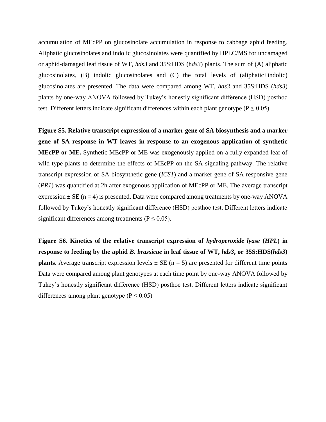accumulation of MEcPP on glucosinolate accumulation in response to cabbage aphid feeding. Aliphatic glucosinolates and indolic glucosinolates were quantified by HPLC/MS for undamaged or aphid-damaged leaf tissue of WT, *hds3* and 35S:HDS (h*ds3*) plants. The sum of (A) aliphatic glucosinolates, (B) indolic glucosinolates and (C) the total levels of (aliphatic+indolic) glucosinolates are presented. The data were compared among WT, *hds3* and 35S:HDS (*hds3*) plants by one-way ANOVA followed by Tukey's honestly significant difference (HSD) posthoc test. Different letters indicate significant differences within each plant genotype ( $P \le 0.05$ ).

**Figure S5. Relative transcript expression of a marker gene of SA biosynthesis and a marker gene of SA response in WT leaves in response to an exogenous application of synthetic MEcPP or ME.** Synthetic MEcPP or ME was exogenously applied on a fully expanded leaf of wild type plants to determine the effects of MEcPP on the SA signaling pathway. The relative transcript expression of SA biosynthetic gene (*ICS1*) and a marker gene of SA responsive gene (*PR1*) was quantified at 2h after exogenous application of MEcPP or ME. The average transcript expression  $\pm$  SE (n = 4) is presented. Data were compared among treatments by one-way ANOVA followed by Tukey's honestly significant difference (HSD) posthoc test. Different letters indicate significant differences among treatments ( $P \le 0.05$ ).

**Figure S6. Kinetics of the relative transcript expression of** *hydroperoxide lyase* **(***HPL***) in response to feeding by the aphid** *B. brassicae* **in leaf tissue of WT,** *hds3***, or 35S:HDS(***hds3***) plants**. Average transcript expression levels  $\pm$  SE (n = 5) are presented for different time points Data were compared among plant genotypes at each time point by one-way ANOVA followed by Tukey's honestly significant difference (HSD) posthoc test. Different letters indicate significant differences among plant genotype ( $P \le 0.05$ )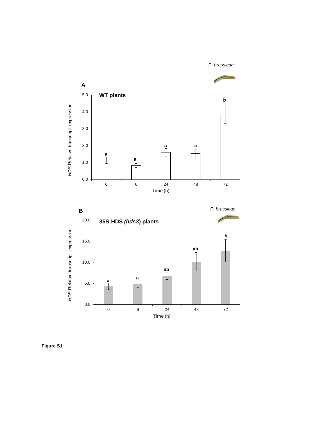

**Figure S1**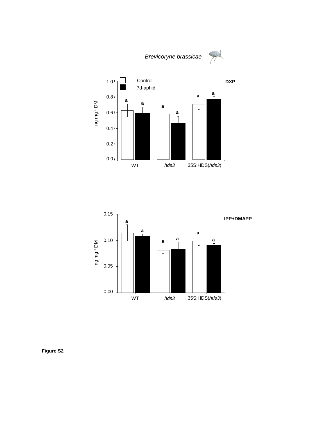



**Figure S2**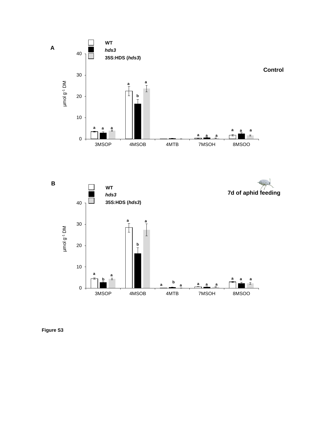

**Figure S3**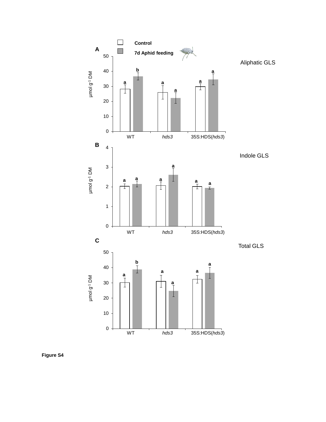

**Figure S4**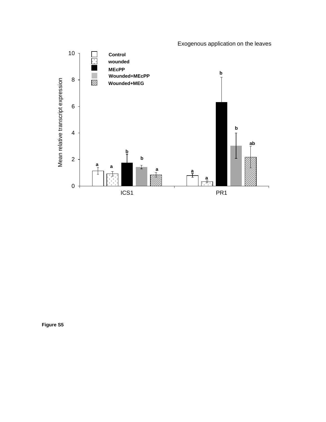

**Figure S5**